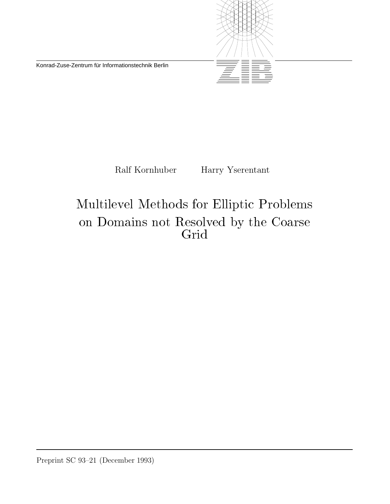Konrad-Zuse-Zentrum für Informationstechnik Berlin



Ralf Kornhuber Harry Yserentant

# Multilevel Methods for Elliptic Problems on Domains not Resolved by the Coarse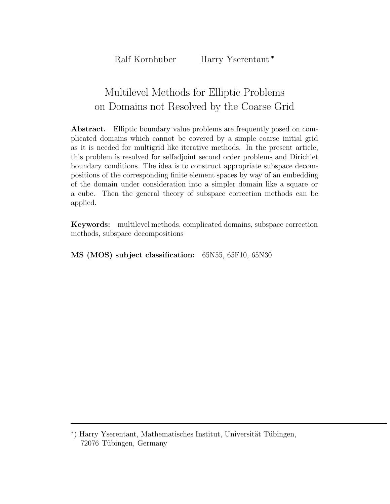## Multilevel Methods for Elliptic Problems on Domains not Resolved by the Coarse Grid

**Abstract.** Elliptic boundary value problems are frequently posed on complicated domains which cannot be covered by a simple coarse initial grid as it is needed for multigrid like iterative methods. In the present article, this problem is resolved for selfadjoint second order problems and Dirichlet boundary conditions. The idea is to construct appropriate subspace decompositions of the corresponding finite element spaces by way of an embedding of the domain under consideration into a simpler domain like a square or a cube. Then the general theory of subspace correction methods can be applied.

**Keywords:** multilevel methods, complicated domains, subspace correction methods, subspace decompositions

**MS (MOS) subject classification:** 65N55, 65F10, 65N30

<sup>\*)</sup> Harry Yserentant, Mathematisches Institut, Universität Tübingen, 72076 Tübingen, Germany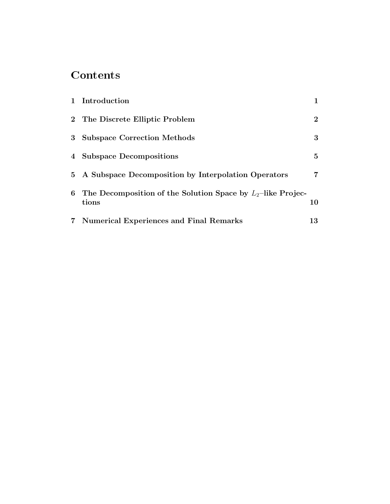## Contents

|   | 1 Introduction                                                          |             |
|---|-------------------------------------------------------------------------|-------------|
|   | 2 The Discrete Elliptic Problem                                         | $2^{\circ}$ |
| 3 | <b>Subspace Correction Methods</b>                                      | 3           |
|   | 4 Subspace Decompositions                                               | $5^{\circ}$ |
|   | 5 A Subspace Decomposition by Interpolation Operators                   | 7           |
| 6 | The Decomposition of the Solution Space by $L_2$ -like Projec-<br>tions | 10          |
|   | 7 Numerical Experiences and Final Remarks                               | 13          |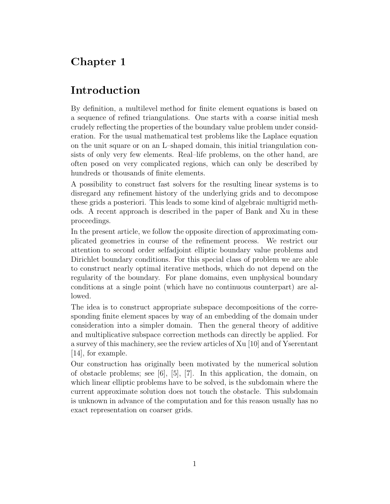## Introduction

By definition, a multilevel method for finite element equations is based on a sequence of refined triangulations. One starts with a coarse initial mesh crudely reflecting the properties of the boundary value problem under consideration. For the usual mathematical test problems like the Laplace equation on the unit square or on an L–shaped domain, this initial triangulation consists of only very few elements. Real–life problems, on the other hand, are often posed on very complicated regions, which can only be described by hundreds or thousands of finite elements.

A possibility to construct fast solvers for the resulting linear systems is to disregard any refinement history of the underlying grids and to decompose these grids a posteriori. This leads to some kind of algebraic multigrid methods. A recent approach is described in the paper of Bank and Xu in these proceedings.

In the present article, we follow the opposite direction of approximating complicated geometries in course of the refinement process. We restrict our attention to second order selfadjoint elliptic boundary value problems and Dirichlet boundary conditions. For this special class of problem we are able to construct nearly optimal iterative methods, which do not depend on the regularity of the boundary. For plane domains, even unphysical boundary conditions at a single point (which have no continuous counterpart) are allowed.

The idea is to construct appropriate subspace decompositions of the corresponding finite element spaces by way of an embedding of the domain under consideration into a simpler domain. Then the general theory of additive and multiplicative subspace correction methods can directly be applied. For a survey of this machinery, see the review articles of Xu [10] and of Yserentant [14], for example.

Our construction has originally been motivated by the numerical solution of obstacle problems; see  $[6]$ ,  $[5]$ ,  $[7]$ . In this application, the domain, on which linear elliptic problems have to be solved, is the subdomain where the current approximate solution does not touch the obstacle. This subdomain is unknown in advance of the computation and for this reason usually has no exact representation on coarser grids.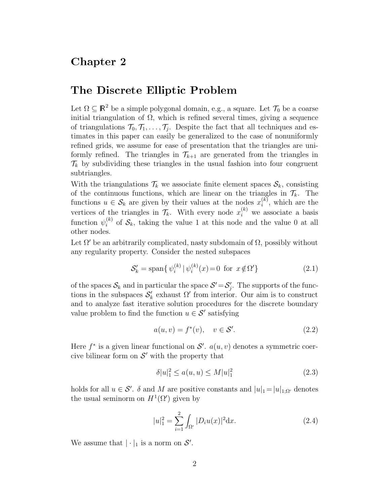#### The Discrete Elliptic Problem

Let  $\Omega \subseteq \mathbb{R}^2$  be a simple polygonal domain, e.g., a square. Let  $\mathcal{T}_0$  be a coarse initial triangulation of  $\Omega$ , which is refined several times, giving a sequence of triangulations  $\mathcal{T}_0, \mathcal{T}_1, \ldots, \mathcal{T}_i$ . Despite the fact that all techniques and estimates in this paper can easily be generalized to the case of nonuniformly refined grids, we assume for ease of presentation that the triangles are uniformly refined. The triangles in  $\mathcal{T}_{k+1}$  are generated from the triangles in  $\mathcal{T}_k$  by subdividing these triangles in the usual fashion into four congruent subtriangles.

With the triangulations  $\mathcal{T}_k$  we associate finite element spaces  $\mathcal{S}_k$ , consisting of the continuous functions, which are linear on the triangles in  $\mathcal{T}_k$ . The functions  $u \in \mathcal{S}_k$  are given by their values at the nodes  $x_i^{(k)}$ , which are the vertices of the triangles in  $\mathcal{T}_k$ . With every node  $x_i^{(k)}$  we associate a basis function  $\psi_i^{(k)}$  of  $\mathcal{S}_k$ , taking the value 1 at this node and the value 0 at all other nodes.

Let  $\Omega'$  be an arbitrarily complicated, nasty subdomain of  $\Omega$ , possibly without any regularity property. Consider the nested subspaces

$$
S'_{k} = \text{span}\{\psi_i^{(k)} | \psi_i^{(k)}(x) = 0 \text{ for } x \notin \Omega'\}
$$
 (2.1)

of the spaces  $S_k$  and in particular the space  $S' = S'_j$ . The supports of the functions in the subspaces  $\mathcal{S}'_k$  exhaust  $\Omega'$  from interior. Our aim is to construct and to analyze fast iterative solution procedures for the discrete boundary value problem to find the function  $u \in \mathcal{S}'$  satisfying

$$
a(u, v) = f^*(v), \quad v \in \mathcal{S}'.\tag{2.2}
$$

Here  $f^*$  is a given linear functional on  $\mathcal{S}'$ .  $a(u, v)$  denotes a symmetric coercive bilinear form on  $\mathcal{S}'$  with the property that

$$
\delta |u|_1^2 \le a(u, u) \le M |u|_1^2 \tag{2.3}
$$

holds for all  $u \in \mathcal{S}'$ .  $\delta$  and M are positive constants and  $|u|_1 = |u|_{1;\Omega'}$  denotes the usual seminorm on  $H^1(\Omega)$  given by

$$
|u|_1^2 = \sum_{i=1}^2 \int_{\Omega'} |D_i u(x)|^2 dx.
$$
 (2.4)

We assume that  $|\cdot|_1$  is a norm on  $\mathcal{S}'$ .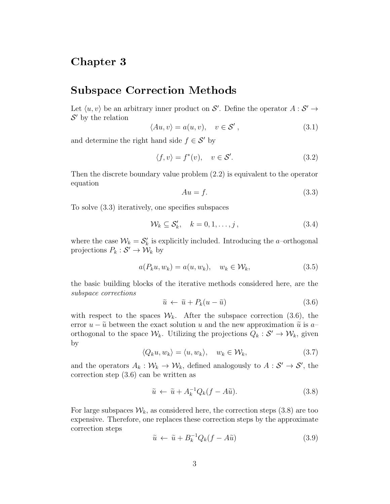#### Subspace Correction Methods

Let  $\langle u, v \rangle$  be an arbitrary inner product on S'. Define the operator  $A : S' \to$  $\mathcal{S}'$  by the relation

$$
\langle Au, v \rangle = a(u, v), \quad v \in \mathcal{S}', \tag{3.1}
$$

and determine the right hand side  $f \in \mathcal{S}'$  by

$$
\langle f, v \rangle = f^*(v), \quad v \in \mathcal{S}'. \tag{3.2}
$$

Then the discrete boundary value problem (2.2) is equivalent to the operator equation

$$
Au = f.\tag{3.3}
$$

To solve (3.3) iteratively, one specifies subspaces

$$
\mathcal{W}_k \subseteq \mathcal{S}'_k, \quad k = 0, 1, \dots, j \,, \tag{3.4}
$$

where the case  $\mathcal{W}_k = \mathcal{S}'_k$  is explicitly included. Introducing the *a*-orthogonal projections  $P_k : \mathcal{S}' \to \mathcal{W}_k$  by

$$
a(P_k u, w_k) = a(u, w_k), \quad w_k \in \mathcal{W}_k,
$$
\n
$$
(3.5)
$$

the basic building blocks of the iterative methods considered here, are the *subspace corrections*

$$
\tilde{u} \leftarrow \tilde{u} + P_k(u - \tilde{u}) \tag{3.6}
$$

with respect to the spaces  $W_k$ . After the subspace correction (3.6), the error  $u - \tilde{u}$  between the exact solution u and the new approximation  $\tilde{u}$  is a– orthogonal to the space  $\mathcal{W}_k$ . Utilizing the projections  $Q_k : \mathcal{S}' \to \mathcal{W}_k$ , given by

$$
\langle Q_k u, w_k \rangle = \langle u, w_k \rangle, \quad w_k \in \mathcal{W}_k,
$$
\n(3.7)

and the operators  $A_k: \mathcal{W}_k \to \mathcal{W}_k$ , defined analogously to  $A: \mathcal{S}' \to \mathcal{S}'$ , the correction step (3.6) can be written as

$$
\tilde{u} \leftarrow \tilde{u} + A_k^{-1} Q_k (f - A\tilde{u}). \tag{3.8}
$$

For large subspaces  $\mathcal{W}_k$ , as considered here, the correction steps (3.8) are too expensive. Therefore, one replaces these correction steps by the approximate correction steps

$$
\tilde{u} \leftarrow \tilde{u} + B_k^{-1} Q_k (f - A\tilde{u}) \tag{3.9}
$$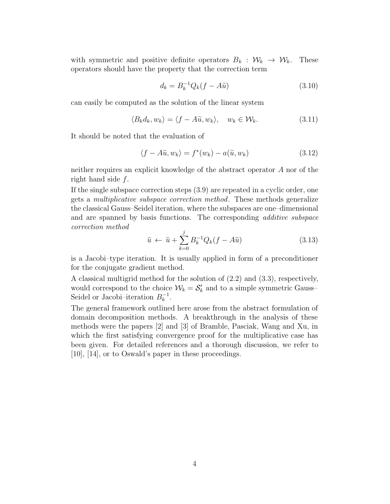with symmetric and positive definite operators  $B_k : \mathcal{W}_k \to \mathcal{W}_k$ . These operators should have the property that the correction term

$$
d_k = B_k^{-1} Q_k (f - A\tilde{u}) \tag{3.10}
$$

can easily be computed as the solution of the linear system

$$
\langle B_k d_k, w_k \rangle = \langle f - A\tilde{u}, w_k \rangle, \quad w_k \in \mathcal{W}_k. \tag{3.11}
$$

It should be noted that the evaluation of

$$
\langle f - A\tilde{u}, w_k \rangle = f^*(w_k) - a(\tilde{u}, w_k)
$$
\n(3.12)

neither requires an explicit knowledge of the abstract operator A nor of the right hand side f.

If the single subspace correction steps (3.9) are repeated in a cyclic order, one gets a *multiplicative subspace correction method*. These methods generalize the classical Gauss–Seidel iteration, where the subspaces are one–dimensional and are spanned by basis functions. The corresponding *additive subspace correction method*

$$
\tilde{u} \leftarrow \tilde{u} + \sum_{k=0}^{j} B_k^{-1} Q_k (f - A\tilde{u}) \tag{3.13}
$$

is a Jacobi–type iteration. It is usually applied in form of a preconditioner for the conjugate gradient method.

A classical multigrid method for the solution of (2.2) and (3.3), respectively, would correspond to the choice  $W_k = S'_k$  and to a simple symmetric Gauss-Seidel or Jacobi–iteration  $B_k^{-1}$ .

The general framework outlined here arose from the abstract formulation of domain decomposition methods. A breakthrough in the analysis of these methods were the papers [2] and [3] of Bramble, Pasciak, Wang and Xu, in which the first satisfying convergence proof for the multiplicative case has been given. For detailed references and a thorough discussion, we refer to [10], [14], or to Oswald's paper in these proceedings.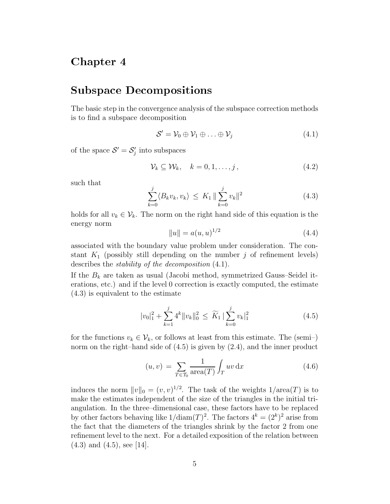#### Subspace Decompositions

The basic step in the convergence analysis of the subspace correction methods is to find a subspace decomposition

$$
S' = \mathcal{V}_0 \oplus \mathcal{V}_1 \oplus \ldots \oplus \mathcal{V}_j \tag{4.1}
$$

of the space  $S' = S'_j$  into subspaces

$$
\mathcal{V}_k \subseteq \mathcal{W}_k, \quad k = 0, 1, \dots, j \,, \tag{4.2}
$$

such that

$$
\sum_{k=0}^{j} \langle B_k v_k, v_k \rangle \le K_1 \| \sum_{k=0}^{j} v_k \|^2
$$
\n(4.3)

holds for all  $v_k \in V_k$ . The norm on the right hand side of this equation is the energy norm

$$
||u|| = a(u, u)^{1/2}
$$
\n(4.4)

associated with the boundary value problem under consideration. The constant  $K_1$  (possibly still depending on the number j of refinement levels) describes the *stability of the decomposition* (4.1).

If the  $B_k$  are taken as usual (Jacobi method, symmetrized Gauss–Seidel iterations, etc.) and if the level 0 correction is exactly computed, the estimate (4.3) is equivalent to the estimate

$$
|v_0|_1^2 + \sum_{k=1}^j 4^k \|v_k\|_0^2 \le \widetilde{K}_1 \left| \sum_{k=0}^j v_k \right|_1^2 \tag{4.5}
$$

for the functions  $v_k \in V_k$ , or follows at least from this estimate. The (semi-) norm on the right–hand side of  $(4.5)$  is given by  $(2.4)$ , and the inner product

$$
(u,v) = \sum_{T \in \mathcal{T}_0} \frac{1}{\text{area}(T)} \int_T uv \, dx \tag{4.6}
$$

induces the norm  $||v||_0 = (v, v)^{1/2}$ . The task of the weights  $1/\text{area}(T)$  is to make the estimates independent of the size of the triangles in the initial triangulation. In the three–dimensional case, these factors have to be replaced by other factors behaving like  $1/\text{diam}(T)^2$ . The factors  $4^k = (2^k)^2$  arise from the fact that the diameters of the triangles shrink by the factor 2 from one refinement level to the next. For a detailed exposition of the relation between (4.3) and (4.5), see [14].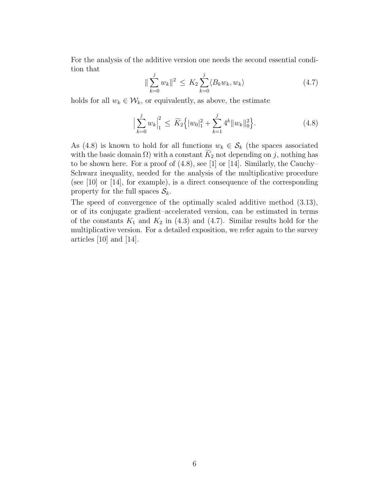For the analysis of the additive version one needs the second essential condition that

$$
\|\sum_{k=0}^{j} w_k\|^2 \le K_2 \sum_{k=0}^{j} \langle B_k w_k, w_k \rangle \tag{4.7}
$$

holds for all  $w_k \in \mathcal{W}_k$ , or equivalently, as above, the estimate

$$
\Big|\sum_{k=0}^{j} w_k\Big|_{1}^{2} \le \widetilde{K}_2 \Big\{ |w_0|_{1}^{2} + \sum_{k=1}^{j} 4^k \|w_k\|_{0}^{2} \Big\}.
$$
 (4.8)

As (4.8) is known to hold for all functions  $w_k \in S_k$  (the spaces associated with the basic domain  $\Omega$ ) with a constant  $\widetilde{K}_2$  not depending on j, nothing has to be shown here. For a proof of (4.8), see [1] or [14]. Similarly, the Cauchy– Schwarz inequality, needed for the analysis of the multiplicative procedure (see [10] or [14], for example), is a direct consequence of the corresponding property for the full spaces  $S_k$ .

The speed of convergence of the optimally scaled additive method (3.13), or of its conjugate gradient–accelerated version, can be estimated in terms of the constants  $K_1$  and  $K_2$  in (4.3) and (4.7). Similar results hold for the multiplicative version. For a detailed exposition, we refer again to the survey articles [10] and [14].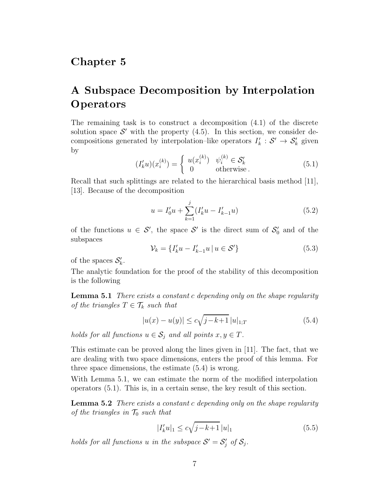## A Subspace Decomposition by Interpolation Operators

The remaining task is to construct a decomposition  $(4.1)$  of the discrete solution space  $\mathcal{S}'$  with the property (4.5). In this section, we consider decompositions generated by interpolation–like operators  $I'_k : \mathcal{S}' \to \mathcal{S}'_k$  given by

$$
(I'_{k}u)(x_i^{(k)}) = \begin{cases} u(x_i^{(k)}) & \psi_i^{(k)} \in \mathcal{S}'_k \\ 0 & \text{otherwise} \end{cases}
$$
 (5.1)

Recall that such splittings are related to the hierarchical basis method [11], [13]. Because of the decomposition

$$
u = I'_0 u + \sum_{k=1}^{j} (I'_k u - I'_{k-1} u)
$$
\n(5.2)

of the functions  $u \in S'$ , the space S' is the direct sum of  $S'_0$  and of the subspaces

$$
\mathcal{V}_k = \{ I'_k u - I'_{k-1} u \, | \, u \in \mathcal{S}' \} \tag{5.3}
$$

of the spaces  $\mathcal{S}'_k$ .

The analytic foundation for the proof of the stability of this decomposition is the following

**Lemma 5.1** *There exists a constant* c *depending only on the shape regularity of the triangles*  $T \in \mathcal{T}_k$  *such that* 

$$
|u(x) - u(y)| \le c\sqrt{j - k + 1} \, |u|_{1,T} \tag{5.4}
$$

*holds for all functions*  $u \in S_j$  *and all points*  $x, y \in T$ *.* 

This estimate can be proved along the lines given in [11]. The fact, that we are dealing with two space dimensions, enters the proof of this lemma. For three space dimensions, the estimate (5.4) is wrong.

With Lemma 5.1, we can estimate the norm of the modified interpolation operators (5.1). This is, in a certain sense, the key result of this section.

**Lemma 5.2** *There exists a constant* c *depending only on the shape regularity of the triangles in*  $\mathcal{T}_0$  *such that* 

$$
|I'_k u|_1 \le c\sqrt{j-k+1} \, |u|_1 \tag{5.5}
$$

*holds for all functions* u *in the subspace*  $S' = S'_j$  *of*  $S_j$ *.*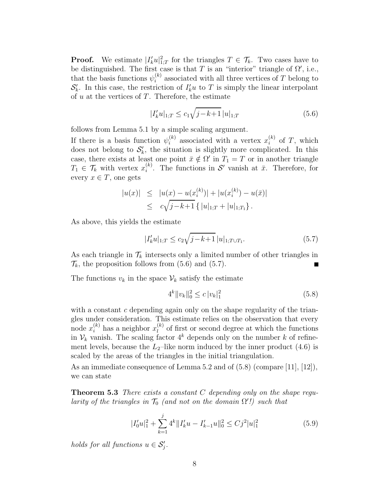**Proof.** We estimate  $|I'_k u|^2_{1:T}$  for the triangles  $T \in \mathcal{T}_k$ . Two cases have to be distinguished. The first case is that T is an "interior" triangle of  $\Omega'$ , i.e., that the basis functions  $\psi_i^{(k)}$  associated with all three vertices of T belong to  $\mathcal{S}'_k$ . In this case, the restriction of  $I'_k u$  to T is simply the linear interpolant of  $u$  at the vertices of  $T$ . Therefore, the estimate

$$
|I'_{k}u|_{1,T} \le c_1 \sqrt{j-k+1} |u|_{1,T}
$$
\n(5.6)

follows from Lemma 5.1 by a simple scaling argument.

If there is a basis function  $\psi_i^{(k)}$  associated with a vertex  $x_i^{(k)}$  of T, which does not belong to  $S'_{k}$ , the situation is slightly more complicated. In this case, there exists at least one point  $\bar{x} \notin \Omega'$  in  $T_1 = T$  or in another triangle  $T_1 \in \mathcal{T}_k$  with vertex  $x_i^{(k)}$ . The functions in  $\mathcal{S}'$  vanish at  $\bar{x}$ . Therefore, for every  $x \in T$ , one gets

$$
|u(x)| \le |u(x) - u(x_i^{(k)})| + |u(x_i^{(k)}) - u(\bar{x})|
$$
  
\n
$$
\le c\sqrt{j-k+1} \{ |u|_{1,T} + |u|_{1,T_1} \}.
$$

As above, this yields the estimate

$$
|I'_{k}u|_{1:T} \le c_2 \sqrt{j-k+1} |u|_{1:T \cup T_1}.
$$
\n(5.7)

As each triangle in  $\mathcal{T}_k$  intersects only a limited number of other triangles in  $\mathcal{T}_k$ , the proposition follows from  $(5.6)$  and  $(5.7)$ .

The functions  $v_k$  in the space  $\mathcal{V}_k$  satisfy the estimate

$$
4^k \|v_k\|_0^2 \le c |v_k|_1^2 \tag{5.8}
$$

with a constant  $c$  depending again only on the shape regularity of the triangles under consideration. This estimate relies on the observation that every node  $x_i^{(k)}$  has a neighbor  $x_l^{(k)}$  of first or second degree at which the functions in  $\mathcal{V}_k$  vanish. The scaling factor  $4^k$  depends only on the number k of refinement levels, because the  $L_2$ –like norm induced by the inner product (4.6) is scaled by the areas of the triangles in the initial triangulation.

As an immediate consequence of Lemma 5.2 and of (5.8) (compare [11], [12]), we can state

**Theorem 5.3** *There exists a constant* C *depending only on the shape regularity of the triangles in*  $\mathcal{T}_0$  *(and not on the domain*  $\Omega'$ *!) such that* 

$$
|I_0'u|_1^2 + \sum_{k=1}^j 4^k \|I_k'u - I_{k-1}'u\|_0^2 \le C j^2 |u|_1^2 \tag{5.9}
$$

*holds for all functions*  $u \in S'_j$ .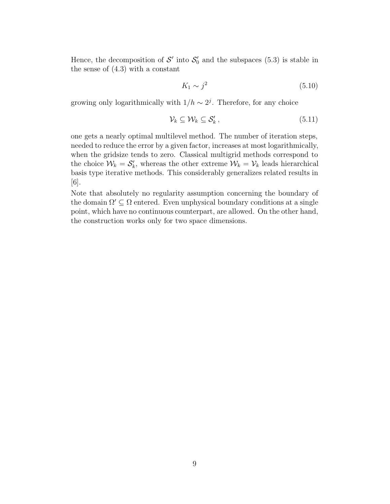Hence, the decomposition of  $\mathcal{S}'$  into  $\mathcal{S}'_0$  and the subspaces (5.3) is stable in the sense of (4.3) with a constant

$$
K_1 \sim j^2 \tag{5.10}
$$

growing only logarithmically with  $1/h \sim 2<sup>j</sup>$ . Therefore, for any choice

$$
\mathcal{V}_k \subseteq \mathcal{W}_k \subseteq \mathcal{S}'_k, \tag{5.11}
$$

one gets a nearly optimal multilevel method. The number of iteration steps, needed to reduce the error by a given factor, increases at most logarithmically, when the gridsize tends to zero. Classical multigrid methods correspond to the choice  $\mathcal{W}_k = \mathcal{S}'_k$ , whereas the other extreme  $\mathcal{W}_k = \mathcal{V}_k$  leads hierarchical basis type iterative methods. This considerably generalizes related results in [6].

Note that absolutely no regularity assumption concerning the boundary of the domain  $\Omega' \subseteq \Omega$  entered. Even unphysical boundary conditions at a single point, which have no continuous counterpart, are allowed. On the other hand, the construction works only for two space dimensions.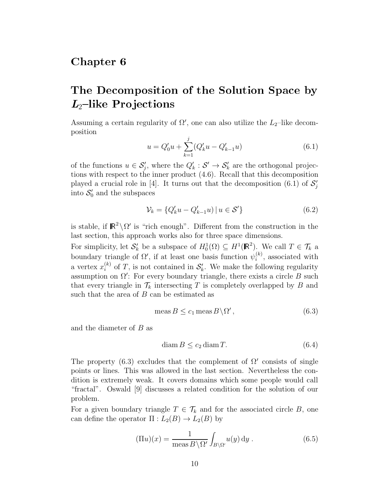#### Chapter<sub>6</sub>

## The Decomposition of the Solution Space by *L*<sub>2</sub>-like Projections

Assuming a certain regularity of  $\Omega'$ , one can also utilize the  $L_2$ -like decomposition

$$
u = Q'_0 u + \sum_{k=1}^{j} (Q'_k u - Q'_{k-1} u)
$$
\n(6.1)

of the functions  $u \in \mathcal{S}'_j$ , where the  $Q'_k : \mathcal{S}' \to \mathcal{S}'_k$  are the orthogonal projections with respect to the inner product (4.6). Recall that this decomposition played a crucial role in [4]. It turns out that the decomposition  $(6.1)$  of  $\mathcal{S}'_j$ into  $S_0'$  and the subspaces

$$
\mathcal{V}_k = \{ Q'_k u - Q'_{k-1} u \} \, | \, u \in \mathcal{S}' \}
$$
\n(6.2)

is stable, if  $\mathbb{R}^2 \setminus \Omega'$  is "rich enough". Different from the construction in the last section, this approach works also for three space dimensions.

For simplicity, let  $\mathcal{S}'_k$  be a subspace of  $H_0^1(\Omega) \subseteq H^1(\mathbb{R}^2)$ . We call  $T \in \mathcal{T}_k$  a boundary triangle of  $\Omega'$ , if at least one basis function  $\psi_i^{(k)}$ , associated with a vertex  $x_i^{(k)}$  of T, is not contained in  $S'_k$ . We make the following regularity assumption on  $\Omega'$ : For every boundary triangle, there exists a circle B such that every triangle in  $\mathcal{T}_k$  intersecting T is completely overlapped by B and such that the area of  $B$  can be estimated as

$$
\operatorname{meas} B \le c_1 \operatorname{meas} B \backslash \Omega', \tag{6.3}
$$

and the diameter of B as

$$
\text{diam}\,B \le c_2 \,\text{diam}\,T. \tag{6.4}
$$

The property (6.3) excludes that the complement of  $\Omega'$  consists of single points or lines. This was allowed in the last section. Nevertheless the condition is extremely weak. It covers domains which some people would call "fractal". Oswald [9] discusses a related condition for the solution of our problem.

For a given boundary triangle  $T \in \mathcal{T}_k$  and for the associated circle B, one can define the operator  $\Pi: L_2(B) \to L_2(B)$  by

$$
(\Pi u)(x) = \frac{1}{\text{meas}\,B\backslash\Omega'} \int_{B\backslash\Omega'} u(y) \,dy . \tag{6.5}
$$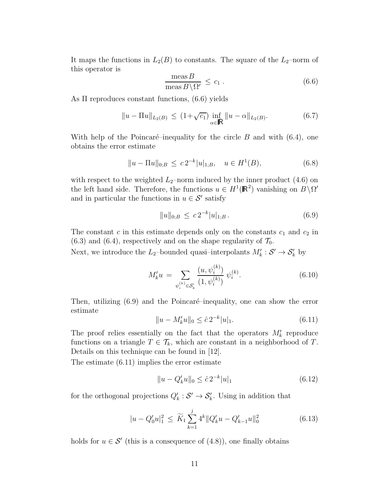It maps the functions in  $L_2(B)$  to constants. The square of the  $L_2$ –norm of this operator is

$$
\frac{\text{meas }B}{\text{meas }B\setminus\Omega'} \le c_1 \,. \tag{6.6}
$$

As Π reproduces constant functions, (6.6) yields

$$
||u - \Pi u||_{L_2(B)} \le (1 + \sqrt{c_1}) \inf_{\alpha \in \mathbb{R}} ||u - \alpha||_{L_2(B)}.
$$
 (6.7)

With help of the Poincaré–inequality for the circle B and with  $(6.4)$ , one obtains the error estimate

$$
||u - \Pi u||_{0,B} \le c 2^{-k} |u|_{1,B}, \quad u \in H^1(B), \tag{6.8}
$$

with respect to the weighted  $L_2$ –norm induced by the inner product (4.6) on the left hand side. Therefore, the functions  $u \in H^1(\mathbb{R}^2)$  vanishing on  $B \setminus \Omega'$ and in particular the functions in  $u \in \mathcal{S}'$  satisfy

$$
||u||_{0,B} \le c 2^{-k} |u|_{1,B}.
$$
\n(6.9)

The constant  $c$  in this estimate depends only on the constants  $c_1$  and  $c_2$  in  $(6.3)$  and  $(6.4)$ , respectively and on the shape regularity of  $\mathcal{T}_0$ .

Next, we introduce the  $L_2$ -bounded quasi-interpolants  $M'_k: \mathcal{S}' \to \mathcal{S}'_k$  by

$$
M'_{k}u = \sum_{\psi_{i}^{(k)} \in \mathcal{S}'_{k}} \frac{(u, \psi_{i}^{(k)})}{(1, \psi_{i}^{(k)})} \psi_{i}^{(k)}.
$$
\n(6.10)

Then, utilizing  $(6.9)$  and the Poincaré–inequality, one can show the error estimate

$$
||u - M'_k u||_0 \leq \hat{c} \, 2^{-k} |u|_1. \tag{6.11}
$$

The proof relies essentially on the fact that the operators  $M'_k$  reproduce functions on a triangle  $T \in \mathcal{T}_k$ , which are constant in a neighborhood of T. Details on this technique can be found in [12].

The estimate (6.11) implies the error estimate

$$
||u - Q'_k u||_0 \le \hat{c} \, 2^{-k} |u|_1 \tag{6.12}
$$

for the orthogonal projections  $Q'_k : \mathcal{S}' \to \mathcal{S}'_k$ . Using in addition that

$$
|u - Q_0'u|_1^2 \le \widetilde{K}_1 \sum_{k=1}^j 4^k \|Q_k'u - Q_{k-1}'u\|_0^2
$$
\n(6.13)

holds for  $u \in \mathcal{S}'$  (this is a consequence of (4.8)), one finally obtains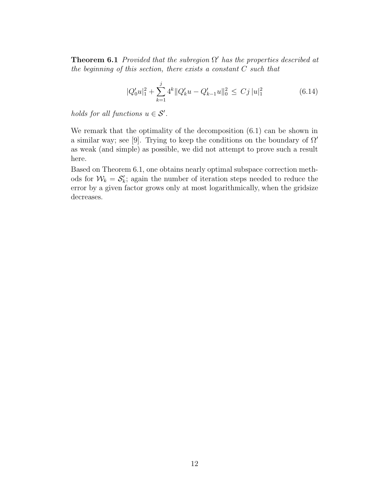**Theorem 6.1** *Provided that the subregion*  $\Omega'$  *has the properties described at the beginning of this section, there exists a constant* C *such that*

$$
|Q_0'u|_1^2 + \sum_{k=1}^j 4^k ||Q_k'u - Q_{k-1}'u||_0^2 \le Cj ||u|_1^2
$$
 (6.14)

*holds for all functions*  $u \in S'$ .

We remark that the optimality of the decomposition (6.1) can be shown in a similar way; see [9]. Trying to keep the conditions on the boundary of  $\Omega'$ as weak (and simple) as possible, we did not attempt to prove such a result here.

Based on Theorem 6.1, one obtains nearly optimal subspace correction methods for  $W_k = S'_k$ ; again the number of iteration steps needed to reduce the error by a given factor grows only at most logarithmically, when the gridsize decreases.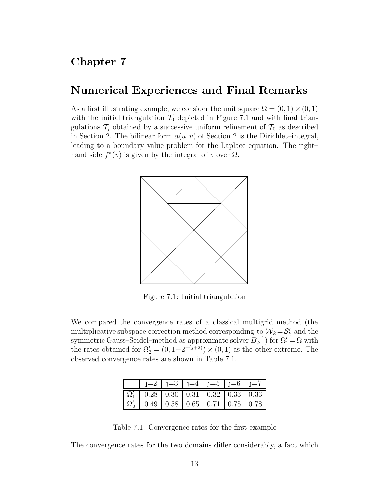#### Numerical Experiences and Final Remarks

As a first illustrating example, we consider the unit square  $\Omega = (0, 1) \times (0, 1)$ with the initial triangulation  $\mathcal{T}_0$  depicted in Figure 7.1 and with final triangulations  $\mathcal{T}_j$  obtained by a successive uniform refinement of  $\mathcal{T}_0$  as described in Section 2. The bilinear form  $a(u, v)$  of Section 2 is the Dirichlet–integral, leading to a boundary value problem for the Laplace equation. The right– hand side  $f^*(v)$  is given by the integral of v over  $\Omega$ .



Figure 7.1: Initial triangulation

We compared the convergence rates of a classical multigrid method (the multiplicative subspace correction method corresponding to  $\mathcal{W}_k = \mathcal{S}'_k$  and the symmetric Gauss–Seidel–method as approximate solver  $B_k^{-1}$ ) for  $\Omega'_1 = \Omega$  with the rates obtained for  $\Omega'_2 = (0, 1-2^{-(j+2)}) \times (0, 1)$  as the other extreme. The observed convergence rates are shown in Table 7.1.

| $\parallel$ j=2   j=3   j=4   j=5   j=6   j=7                                                                                                      |  |  |  |
|----------------------------------------------------------------------------------------------------------------------------------------------------|--|--|--|
| $\left  \Omega'_1 \right  \left  0.28 \right  \left  0.30 \right  \left  0.31 \right  \left  0.32 \right  \left  0.33 \right  \left  0.33 \right $ |  |  |  |
| $\left  \Omega_{2} \right $ 0.49 $\left  0.58 \right $ 0.65 0.71 0.75 0.78                                                                         |  |  |  |

Table 7.1: Convergence rates for the first example

The convergence rates for the two domains differ considerably, a fact which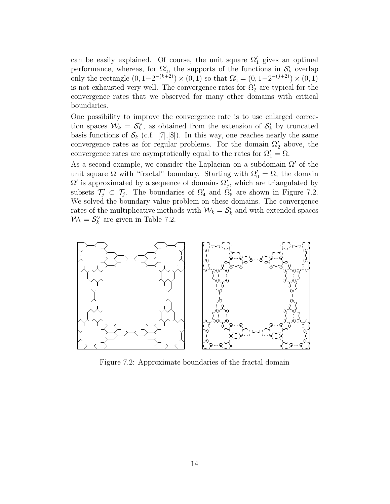can be easily explained. Of course, the unit square  $\Omega'_1$  gives an optimal performance, whereas, for  $\Omega_2'$ , the supports of the functions in  $\mathcal{S}'_k$  overlap only the rectangle  $(0, 1-2^{-(k+2)}) \times (0, 1)$  so that  $\Omega'_2 = (0, 1-2^{-(j+2)}) \times (0, 1)$ is not exhausted very well. The convergence rates for  $\Omega'_2$  are typical for the convergence rates that we observed for many other domains with critical boundaries.

One possibility to improve the convergence rate is to use enlarged correction spaces  $\mathcal{W}_k = \mathcal{S}_k^{\vee}$ , as obtained from the extension of  $\mathcal{S}'_k$  by truncated basis functions of  $\mathcal{S}_k$  (c.f. [7], [8]). In this way, one reaches nearly the same convergence rates as for regular problems. For the domain  $\Omega'_2$  above, the convergence rates are asymptotically equal to the rates for  $\Omega'_1 = \Omega$ .

As a second example, we consider the Laplacian on a subdomain  $\Omega'$  of the unit square  $\Omega$  with "fractal" boundary. Starting with  $\Omega'_{0} = \Omega$ , the domain  $\Omega'$  is approximated by a sequence of domains  $\Omega'_{j}$ , which are triangulated by subsets  $\mathcal{T}'_j \subset \mathcal{T}_j$ . The boundaries of  $\Omega'_4$  and  $\Omega'_5$  are shown in Figure 7.2. We solved the boundary value problem on these domains. The convergence rates of the multiplicative methods with  $W_k = S'_k$  and with extended spaces  $\mathcal{W}_k = \mathcal{S}_k^{\vee}$  are given in Table 7.2.



Figure 7.2: Approximate boundaries of the fractal domain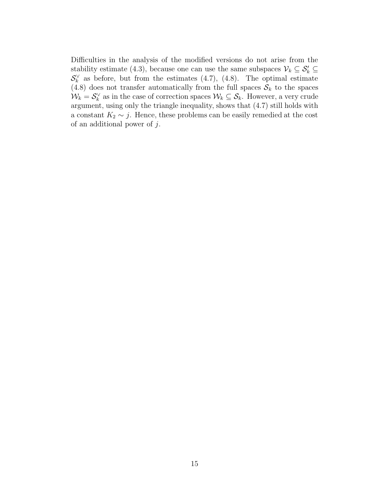Difficulties in the analysis of the modified versions do not arise from the stability estimate (4.3), because one can use the same subspaces  $\mathcal{V}_k \subseteq \mathcal{S}'_k \subseteq$  $\mathcal{S}_k^{\vee}$  as before, but from the estimates  $(4.7)$ ,  $(4.8)$ . The optimal estimate (4.8) does not transfer automatically from the full spaces  $S_k$  to the spaces  $\mathcal{W}_k = \mathcal{S}_k^{\vee}$  as in the case of correction spaces  $\mathcal{W}_k \subseteq \mathcal{S}_k$ . However, a very crude argument, using only the triangle inequality, shows that (4.7) still holds with a constant  $K_2 \sim j$ . Hence, these problems can be easily remedied at the cost of an additional power of  $j$ .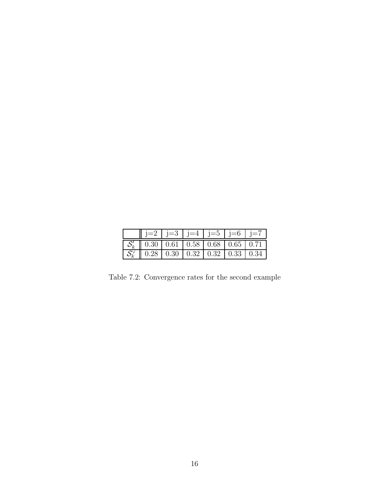| j=2   j=3   j=4   j=5   j=6   j=7                                                       |  |  |  |
|-----------------------------------------------------------------------------------------|--|--|--|
| $\mid S'_{k} \parallel 0.30 \mid 0.61 \mid 0.58 \mid 0.68 \mid 0.65 \mid 0.71$          |  |  |  |
| $\mid S_k^{\vee} \parallel 0.28 \mid 0.30 \mid 0.32 \mid 0.32 \mid 0.33 \mid 0.34 \mid$ |  |  |  |

Table 7.2: Convergence rates for the second example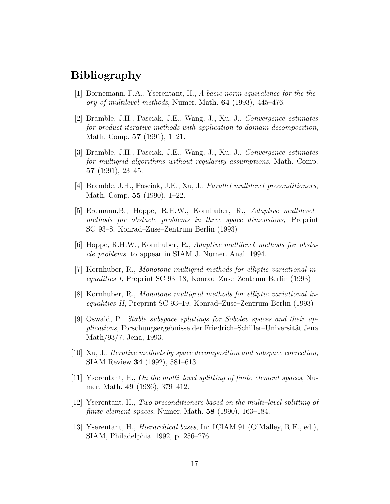### Bibliography

- [1] Bornemann, F.A., Yserentant, H., *A basic norm equivalence for the theory of multilevel methods*, Numer. Math. **64** (1993), 445–476.
- [2] Bramble, J.H., Pasciak, J.E., Wang, J., Xu, J., *Convergence estimates for product iterative methods with application to domain decomposition*, Math. Comp. **57** (1991), 1–21.
- [3] Bramble, J.H., Pasciak, J.E., Wang, J., Xu, J., *Convergence estimates for multigrid algorithms without regularity assumptions*, Math. Comp. **57** (1991), 23–45.
- [4] Bramble, J.H., Pasciak, J.E., Xu, J., *Parallel multilevel preconditioners*, Math. Comp. **55** (1990), 1–22.
- [5] Erdmann,B., Hoppe, R.H.W., Kornhuber, R., *Adaptive multilevel– methods for obstacle problems in three space dimensions*, Preprint SC 93–8, Konrad–Zuse–Zentrum Berlin (1993)
- [6] Hoppe, R.H.W., Kornhuber, R., *Adaptive multilevel–methods for obstacle problems*, to appear in SIAM J. Numer. Anal. 1994.
- [7] Kornhuber, R., *Monotone multigrid methods for elliptic variational inequalities I*, Preprint SC 93–18, Konrad–Zuse–Zentrum Berlin (1993)
- [8] Kornhuber, R., *Monotone multigrid methods for elliptic variational inequalities II*, Preprint SC 93–19, Konrad–Zuse–Zentrum Berlin (1993)
- [9] Oswald, P., *Stable subspace splittings for Sobolev spaces and their applications*, Forschungsergebnisse der Friedrich–Schiller–Universität Jena Math/93/7, Jena, 1993.
- [10] Xu, J., *Iterative methods by space decomposition and subspace correction*, SIAM Review **34** (1992), 581–613.
- [11] Yserentant, H., *On the multi–level splitting of finite element spaces*, Numer. Math. **49** (1986), 379–412.
- [12] Yserentant, H., *Two preconditioners based on the multi–level splitting of finite element spaces*, Numer. Math. **58** (1990), 163–184.
- [13] Yserentant, H., *Hierarchical bases*, In: ICIAM 91 (O'Malley, R.E., ed.), SIAM, Philadelphia, 1992, p. 256–276.